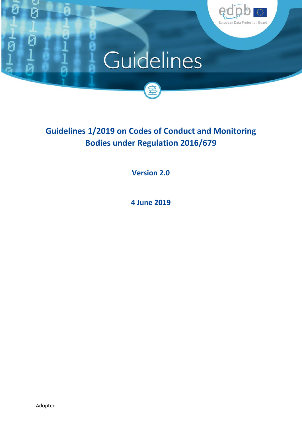

# Guidelines



**Version 2.0**

**4 June 2019**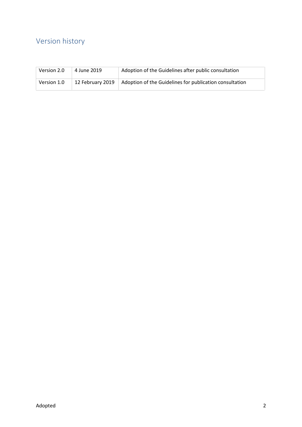# Version history

| Version 2.0 | 4 June 2019      | Adoption of the Guidelines after public consultation    |
|-------------|------------------|---------------------------------------------------------|
| Version 1.0 | 12 February 2019 | Adoption of the Guidelines for publication consultation |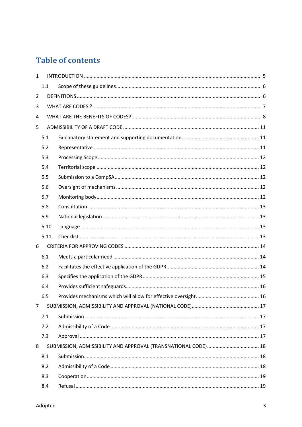# **Table of contents**

| 5.1  |     |  |
|------|-----|--|
| 5.2  |     |  |
| 5.3  |     |  |
| 5.4  |     |  |
| 5.5  |     |  |
| 5.6  |     |  |
| 5.7  |     |  |
| 5.8  |     |  |
| 5.9  |     |  |
| 5.10 |     |  |
| 5.11 |     |  |
|      |     |  |
| 6.1  |     |  |
| 6.2  |     |  |
| 6.3  |     |  |
| 6.4  |     |  |
| 6.5  |     |  |
|      |     |  |
| 7.1  |     |  |
| 7.2  |     |  |
| 7.3  |     |  |
|      |     |  |
| 8.1  |     |  |
| 8.2  |     |  |
| 8.3  |     |  |
| 8.4  |     |  |
|      | 1.1 |  |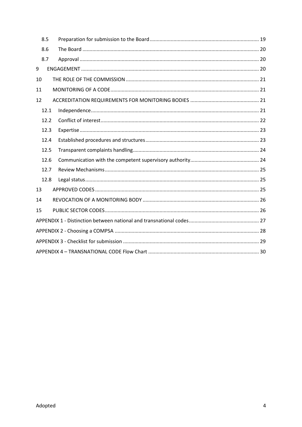| 8.5  |  |  |
|------|--|--|
| 8.6  |  |  |
| 8.7  |  |  |
| 9    |  |  |
| 10   |  |  |
| 11   |  |  |
| 12   |  |  |
| 12.1 |  |  |
| 12.2 |  |  |
| 12.3 |  |  |
| 12.4 |  |  |
| 12.5 |  |  |
| 12.6 |  |  |
| 12.7 |  |  |
| 12.8 |  |  |
| 13   |  |  |
| 14   |  |  |
| 15   |  |  |
|      |  |  |
|      |  |  |
|      |  |  |
|      |  |  |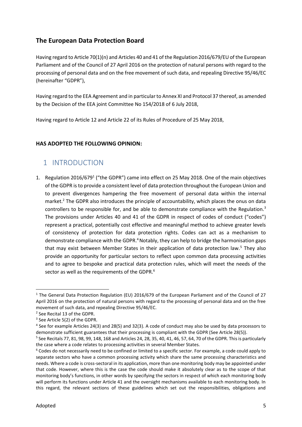### **The European Data Protection Board**

 Having regard to Article 70(1)(n) and Articles 40 and 41 of the Regulation 2016/679/EU of the European Parliament and of the Council of 27 April 2016 on the protection of natural persons with regard to the processing of personal data and on the free movement of such data, and repealing Directive 95/46/EC (hereinafter "GDPR"),

 Having regard to the EEA Agreement and in particularto Annex XI and Protocol 37 thereof, as amended by the Decision of the EEA joint Committee No 154/2018 of 6 July 2018,

Having regard to Article 12 and Article 22 of its Rules of Procedure of 25 May 2018,

#### **HAS ADOPTED THE FOLLOWING OPINION:**

# 1 INTRODUCTION

1. Regulation 2016/6791 ("the GDPR") came into effect on 25 May 2018. One of the main objectives of the GDPR is to provide a consistent level of data protection throughout the European Union and to prevent divergences hampering the free movement of personal data within the internal market.<sup>2</sup> The GDPR also introduces the principle of accountability, which places the onus on data controllers to be responsible for, and be able to demonstrate compliance with the Regulation.<sup>3</sup> The provisions under Articles 40 and 41 of the GDPR in respect of codes of conduct ("codes") represent a practical, potentially cost effective and meaningful method to achieve greater levels of consistency of protection for data protection rights. Codes can act as a mechanism to demonstrate compliance with the GDPR.<sup>4</sup> Notably, they can help to bridge the harmonisation gaps that may exist between Member States in their application of data protection law.<sup>5</sup> They also provide an opportunity for particular sectors to reflect upon common data processing activities and to agree to bespoke and practical data protection rules, which will meet the needs of the sector as well as the requirements of the GDPR.<sup>6</sup>

<sup>&</sup>lt;sup>1</sup> The General Data Protection Regulation (EU) 2016/679 of the European Parliament and of the Council of 27 April 2016 on the protection of natural persons with regard to the processing of personal data and on the free movement of such data, and repealing Directive 95/46/EC.

<sup>2</sup> See Recital 13 of the GDPR.

<sup>&</sup>lt;sup>3</sup> See Article 5(2) of the GDPR.

<sup>4</sup> See for example Articles 24(3) and 28(5) and 32(3). A code of conduct may also be used by data processors to demonstrate sufficient guarantees that their processing is compliant with the GDPR (See Article 28(5)).

 $5$  See Recitals 77, 81, 98, 99, 148, 168 and Articles 24, 28, 35, 40, 41, 46, 57, 64, 70 of the GDPR. This is particularly the case where a code relates to processing activities in several Member States.

<sup>&</sup>lt;sup>6</sup> Codes do not necessarily need to be confined or limited to a specific sector. For example, a code could apply to separate sectors who have a common processing activity which share the same processing characteristics and needs. Where a code is cross-sectoral in its application, more than one monitoring body may be appointed under that code. However, where this is the case the code should make it absolutely clear as to the scope of that monitoring body's functions, in other words by specifying the sectors in respect of which each monitoring body will perform its functions under Article 41 and the oversight mechanisms available to each monitoring body. In this regard, the relevant sections of these guidelines which set out the responsibilities, obligations and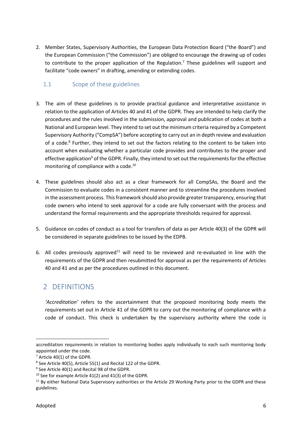2. Member States, Supervisory Authorities, the European Data Protection Board ("the Board") and the European Commission ("the Commission") are obliged to encourage the drawing up of codes to contribute to the proper application of the Regulation.<sup>7</sup> These guidelines will support and facilitate "code owners" in drafting, amending or extending codes.

### 1.1 Scope of these guidelines

- 3. The aim of these guidelines is to provide practical guidance and interpretative assistance in relation to the application of Articles 40 and 41 of the GDPR. They are intended to help clarify the procedures and the rules involved in the submission, approval and publication of codes at both a National and European level. They intend to set out the minimum criteria required by a Competent Supervisory Authority ("CompSA") before accepting to carry out an in depth review and evaluation of a code.<sup>8</sup> Further, they intend to set out the factors relating to the content to be taken into account when evaluating whether a particular code provides and contributes to the proper and effective application<sup>9</sup> of the GDPR. Finally, they intend to set out the requirements for the effective monitoring of compliance with a code. $^{10}$
- 4. These guidelines should also act as a clear framework for all CompSAs, the Board and the Commission to evaluate codes in a consistent manner and to streamline the procedures involved in the assessment process. This framework should also provide greater transparency, ensuring that code owners who intend to seek approval for a code are fully conversant with the process and understand the formal requirements and the appropriate thresholds required for approval.
- 5. Guidance on codes of conduct as a tool for transfers of data as per Article 40(3) of the GDPR will be considered in separate guidelines to be issued by the EDPB.
- 6. All codes previously approved $11$  will need to be reviewed and re-evaluated in line with the requirements of the GDPR and then resubmitted for approval as per the requirements of Articles 40 and 41 and as per the procedures outlined in this document.

# 2 DEFINITIONS

 *'Accreditation'* refers to the ascertainment that the proposed monitoring body meets the requirements set out in Article 41 of the GDPR to carry out the monitoring of compliance with a code of conduct. This check is undertaken by the supervisory authority where the code is

 accreditation requirements in relation to monitoring bodies apply individually to each such monitoring body appointed under the code.

 $7$  Article 40(1) of the GDPR.

 $8$  See Article 40(5), Article 55(1) and Recital 122 of the GDPR.

 $9$  See Article 40(1) and Recital 98 of the GDPR.

 $10$  See for example Article 41(2) and 41(3) of the GDPR.

<sup>&</sup>lt;sup>11</sup> By either National Data Supervisory authorities or the Article 29 Working Party prior to the GDPR and these guidelines.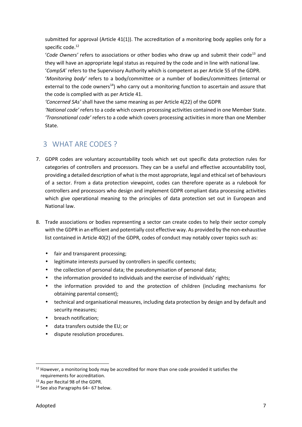submitted for approval (Article 41(1)). The accreditation of a monitoring body applies only for a specific code.<sup>12</sup>

'Code Owners' refers to associations or other bodies who draw up and submit their code<sup>13</sup> and they will have an appropriate legal status as required by the code and in line with national law.

 '*CompSA*' refers to the Supervisory Authority which is competent as per Article 55 of the GDPR. '*Monitoring body'* refers to a body/committee or a number of bodies/committees (internal or external to the code owners<sup>14</sup>) who carry out a monitoring function to ascertain and assure that the code is complied with as per Article 41.

*'Concerned SAs'* shall have the same meaning as per Article 4(22) of the GDPR

 *'National code'* refers to a code which covers processing activities contained in one Member State. *'Transnational code'* refers to a code which covers processing activities in more than one Member State.

# 3 WHAT ARE CODES ?

- 7. GDPR codes are voluntary accountability tools which set out specific data protection rules for categories of controllers and processors. They can be a useful and effective accountability tool, providing a detailed description of what is the most appropriate, legal and ethical set of behaviours of a sector. From a data protection viewpoint, codes can therefore operate as a rulebook for controllers and processors who design and implement GDPR compliant data processing activities which give operational meaning to the principles of data protection set out in European and National law.
- 8. Trade associations or bodies representing a sector can create codes to help their sector comply with the GDPR in an efficient and potentially cost effective way. As provided by the non-exhaustive list contained in Article 40(2) of the GDPR, codes of conduct may notably cover topics such as:
	- fair and transparent processing;
	- ) legitimate interests pursued by controllers in specific contexts;
	- ) the collection of personal data; the pseudonymisation of personal data;
	- ) the information provided to individuals and the exercise of individuals' rights;
	- the information provided to and the protection of children (including mechanisms for obtaining parental consent);
	- $\int$  technical and organisational measures, including data protection by design and by default and security measures;
	- breach notification;
	- ) data transfers outside the EU; or
	- dispute resolution procedures.

 $12$  However, a monitoring body may be accredited for more than one code provided it satisfies the requirements for accreditation.

<sup>&</sup>lt;sup>13</sup> As per Recital 98 of the GDPR.

<sup>&</sup>lt;sup>14</sup> See also Paragraphs 64–67 below.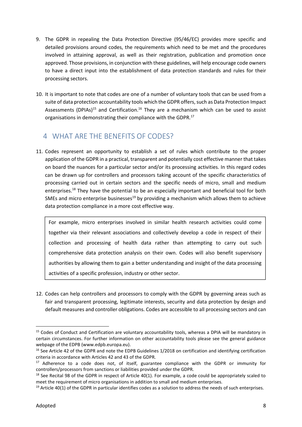- 9. The GDPR in repealing the Data Protection Directive (95/46/EC) provides more specific and detailed provisions around codes, the requirements which need to be met and the procedures involved in attaining approval, as well as their registration, publication and promotion once approved. Those provisions, in conjunction with these guidelines, will help encourage code owners to have a direct input into the establishment of data protection standards and rules for their processing sectors.
- 10. It is important to note that codes are one of a number of voluntary tools that can be used from a suite of data protection accountability tools which the GDPR offers, such as Data Protection Impact Assessments (DPIAs)<sup>15</sup> and Certification.<sup>16</sup> They are a mechanism which can be used to assist organisations in demonstrating their compliance with the GDPR.<sup>17</sup>

# 4 WHAT ARE THE BENEFITS OF CODES?

 11. Codes represent an opportunity to establish a set of rules which contribute to the proper application of the GDPR in a practical, transparent and potentially cost effective manner that takes on board the nuances for a particular sector and/or its processing activities. In this regard codes can be drawn up for controllers and processors taking account of the specific characteristics of processing carried out in certain sectors and the specific needs of micro, small and medium enterprises.<sup>18</sup> They have the potential to be an especially important and beneficial tool for both SMEs and micro enterprise businesses<sup>19</sup> by providing a mechanism which allows them to achieve data protection compliance in a more cost effective way.

For example, micro enterprises involved in similar health research activities could come together via their relevant associations and collectively develop a code in respect of their collection and processing of health data rather than attempting to carry out such comprehensive data protection analysis on their own. Codes will also benefit supervisory authorities by allowing them to gain a better understanding and insight of the data processing activities of a specific profession, industry or other sector.

 12. Codes can help controllers and processors to comply with the GDPR by governing areas such as fair and transparent processing, legitimate interests, security and data protection by design and default measures and controller obligations. Codes are accessible to all processing sectors and can

<sup>&</sup>lt;sup>15</sup> Codes of Conduct and Certification are voluntary accountability tools, whereas a DPIA will be mandatory in certain circumstances. For further information on other accountability tools please see the general guidance webpage of the EDPB [\(www.edpb.europa.eu](www.edpb.europa.eu)).

<sup>&</sup>lt;sup>16</sup> See Article 42 of the GDPR and note the EDPB Guidelines 1/2018 on certification and identifying certification criteria in accordance with Articles 42 and 43 of the GDPR.

 $17$  Adherence to a code does not, of itself, guarantee compliance with the GDPR or immunity for controllers/processors from sanctions or liabilities provided under the GDPR.

 $18$  See Recital 98 of the GDPR in respect of Article 40(1). For example, a code could be appropriately scaled to meet the requirement of micro organisations in addition to small and medium enterprises.

 $19$  Article 40(1) of the GDPR in particular identifies codes as a solution to address the needs of such enterprises.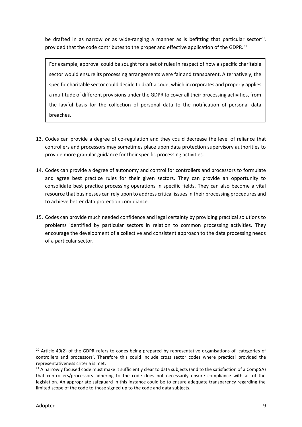be drafted in as narrow or as wide-ranging a manner as is befitting that particular sector<sup>20</sup>, provided that the code contributes to the proper and effective application of the GDPR.<sup>21</sup>

For example, approval could be sought for a set of rules in respect of how a specific charitable sector would ensure its processing arrangements were fair and transparent. Alternatively, the specific charitable sector could decide to draft a code, which incorporates and properly applies a multitude of different provisions under the GDPR to cover all their processing activities, from the lawful basis for the collection of personal data to the notification of personal data breaches.

- 13. Codes can provide a degree of co-regulation and they could decrease the level of reliance that controllers and processors may sometimes place upon data protection supervisory authorities to provide more granular guidance for their specific processing activities.
- 14. Codes can provide a degree of autonomy and control for controllers and processors to formulate and agree best practice rules for their given sectors. They can provide an opportunity to consolidate best practice processing operations in specific fields. They can also become a vital resource that businesses can rely upon to address critical issues in their processing procedures and to achieve better data protection compliance.
- 15. Codes can provide much needed confidence and legal certainty by providing practical solutions to problems identified by particular sectors in relation to common processing activities. They encourage the development of a collective and consistent approach to the data processing needs of a particular sector.

<sup>&</sup>lt;sup>20</sup> Article 40(2) of the GDPR refers to codes being prepared by representative organisations of 'categories of controllers and processors'. Therefore this could include cross sector codes where practical provided the representativeness criteria is met.

<sup>&</sup>lt;sup>21</sup> A narrowly focused code must make it sufficiently clear to data subjects (and to the satisfaction of a CompSA) that controllers/processors adhering to the code does not necessarily ensure compliance with all of the legislation. An appropriate safeguard in this instance could be to ensure adequate transparency regarding the limited scope of the code to those signed up to the code and data subjects.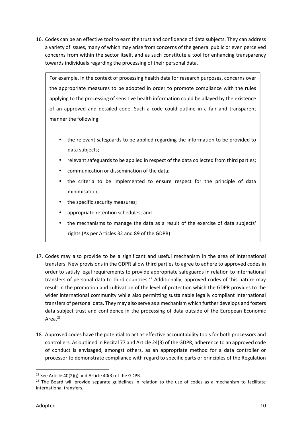16. Codes can be an effective tool to earn the trust and confidence of data subjects. They can address a variety of issues, many of which may arise from concerns of the general public or even perceived concerns from within the sector itself, and as such constitute a tool for enhancing transparency towards individuals regarding the processing of their personal data.

For example, in the context of processing health data for research purposes, concerns over the appropriate measures to be adopted in order to promote compliance with the rules applying to the processing of sensitive health information could be allayed by the existence of an approved and detailed code. Such a code could outline in a fair and transparent manner the following:

- the relevant safeguards to be applied regarding the information to be provided to data subjects;
- relevant safeguards to be applied in respect of the data collected from third parties;
- communication or dissemination of the data;
- the criteria to be implemented to ensure respect for the principle of data minimisation;
- the specific security measures;
- appropriate retention schedules; and
- the mechanisms to manage the data as a result of the exercise of data subjects' rights (As per Articles 32 and 89 of the GDPR)
- 17. Codes may also provide to be a significant and useful mechanism in the area of international transfers. New provisions in the GDPR allow third parties to agree to adhere to approved codes in order to satisfy legal requirements to provide appropriate safeguards in relation to international transfers of personal data to third countries.<sup>22</sup> Additionally, approved codes of this nature may result in the promotion and cultivation of the level of protection which the GDPR provides to the wider international community while also permitting sustainable legally compliant international transfers of personal data. They may also serve as a mechanism which further develops and fosters data subject trust and confidence in the processing of data outside of the European Economic Area.<sup>23</sup>
- 18. Approved codes have the potential to act as effective accountability tools for both processors and controllers. As outlined in Recital 77 and Article 24(3) of the GDPR, adherence to an approved code of conduct is envisaged, amongst others, as an appropriate method for a data controller or processor to demonstrate compliance with regard to specific parts or principles of the Regulation

<sup>&</sup>lt;sup>22</sup> See Article 40(2)(i) and Article 40(3) of the GDPR.

<sup>&</sup>lt;sup>23</sup> The Board will provide separate guidelines in relation to the use of codes as a mechanism to facilitate international transfers.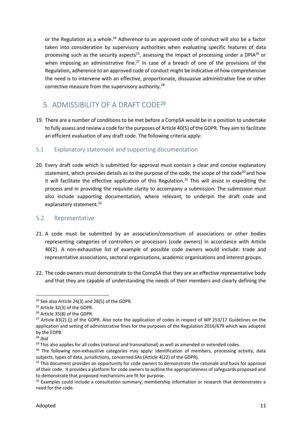or the Regulation as a whole.<sup>24</sup> Adherence to an approved code of conduct will also be a factor taken into consideration by supervisory authorities when evaluating specific features of data processing such as the security aspects<sup>25</sup>, assessing the impact of processing under a DPIA<sup>26</sup> or when imposing an administrative fine.<sup>27</sup> In case of a breach of one of the provisions of the Regulation, adherence to an approved code of conduct might be indicative of how comprehensive the need is to intervene with an effective, proportionate, dissuasive administrative fine or other corrective measure from the supervisory authority.<sup>28</sup>

# 5 ADMISSIBILITY OF A DRAFT CODF<sup>29</sup>

 19. There are a number of conditions to be met before a CompSA would be in a position to undertake to fully assess and review a code for the purposes of Article 40(5) of the GDPR. They aim to facilitate an efficient evaluation of any draft code. The following criteria apply:

### 5.1 Explanatory statement and supporting documentation

 20. Every draft code which is submitted for approval must contain a clear and concise explanatory statement, which provides details as to the purpose of the code, the scope of the code<sup>30</sup> and how it will facilitate the effective application of this Regulation.<sup>31</sup> This will assist in expediting the process and in providing the requisite clarity to accompany a submission. The submission must also include supporting documentation, where relevant, to underpin the draft code and explanatory statement.<sup>32</sup>

### 5.2 Representative

- 21. A code must be submitted by an association/consortium of associations or other bodies representing categories of controllers or processors (code owners) in accordance with Article 40(2). A non-exhaustive list of example of possible code owners would include: trade and representative associations, sectoral organisations, academic organisations and interest groups.
- 22. The code owners must demonstrate to the CompSA that they are an effective representative body and that they are capable of understanding the needs of their members and clearly defining the

<sup>24</sup> See also Article 24(3) and 28(5) of the GDPR.

<sup>&</sup>lt;sup>25</sup> Article 32(3) of the GDPR.

<sup>26</sup> Article 35(8) of the GDPR.

<sup>&</sup>lt;sup>27</sup> Article 83(2) (j) of the GDPR. Also note the application of codes in respect of WP 253/17 Guidelines on the application and setting of administrative fines for the purposes of the Regulation 2016/679 which was adopted by the EDPB.

<sup>28</sup> *Ibid*

 $29$  This also applies for all codes (national and transnational) as well as amended or extended codes.

<sup>&</sup>lt;sup>30</sup> The following non-exhaustive categories may apply: identification of members, processing activity, data subjects, types of data, jurisdictions, concerned SAs (Article 4(22) of the GDPR).

<sup>&</sup>lt;sup>31</sup> This document provides an opportunity for code owners to demonstrate the rationale and basis for approval of their code. It provides a platform for code owners to outline the appropriateness of safeguards proposed and to demonstrate that proposed mechanisms are fit for purpose.

 $32$  Examples could include a consultation summary, membership information or research that demonstrates a need for the code.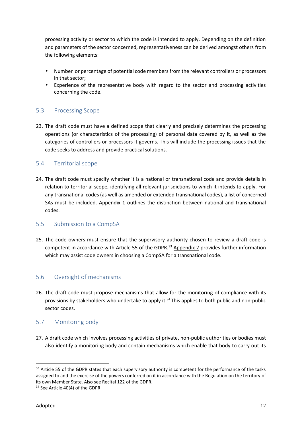processing activity or sector to which the code is intended to apply. Depending on the definition and parameters of the sector concerned, representativeness can be derived amongst others from the following elements:

- Number or percentage of potential code members from the relevant controllers or processors in that sector;
- $\int$  Experience of the representative body with regard to the sector and processing activities concerning the code.

### 5.3 Processing Scope

 23. The draft code must have a defined scope that clearly and precisely determines the processing operations (or characteristics of the processing) of personal data covered by it, as well as the categories of controllers or processors it governs. This will include the processing issues that the code seeks to address and provide practical solutions.

### 5.4 Territorial scope

 24. The draft code must specify whether it is a national or transnational code and provide details in relation to territorial scope, identifying all relevant jurisdictions to which it intends to apply. For any transnational codes (as well as amended or extended transnational codes), a list of concerned SAs must be included. Appendix 1 outlines the distinction between national and transnational codes.

### 5.5 Submission to a CompSA

 25. The code owners must ensure that the supervisory authority chosen to review a draft code is competent in accordance with Article 55 of the GDPR.<sup>33</sup> Appendix 2 provides further information which may assist code owners in choosing a CompSA for a transnational code.

### 5.6 Oversight of mechanisms

 26. The draft code must propose mechanisms that allow for the monitoring of compliance with its provisions by stakeholders who undertake to apply it.<sup>34</sup> This applies to both public and non-public sector codes.

### 5.7 Monitoring body

 27. A draft code which involves processing activities of private, non-public authorities or bodies must also identify a monitoring body and contain mechanisms which enable that body to carry out its

<sup>33</sup> Article 55 of the GDPR states that each supervisory authority is competent for the performance of the tasks assigned to and the exercise of the powers conferred on it in accordance with the Regulation on the territory of its own Member State. Also see Recital 122 of the GDPR.

<sup>&</sup>lt;sup>34</sup> See Article 40(4) of the GDPR.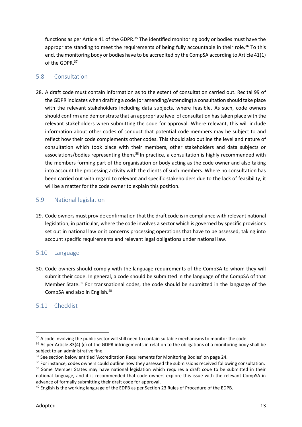functions as per Article 41 of the GDPR.<sup>35</sup> The identified monitoring body or bodies must have the appropriate standing to meet the requirements of being fully accountable in their role.<sup>36</sup> To this end, the monitoring body or bodies have to be accredited by the CompSA according to Article 41(1) of the GDPR.<sup>37</sup>

### 5.8 Consultation

 28. A draft code must contain information as to the extent of consultation carried out. Recital 99 of the GDPR indicates when drafting a code (or amending/extending) a consultation should take place with the relevant stakeholders including data subjects, where feasible. As such, code owners should confirm and demonstrate that an appropriate level of consultation has taken place with the relevant stakeholders when submitting the code for approval. Where relevant, this will include information about other codes of conduct that potential code members may be subject to and reflect how their code complements other codes. This should also outline the level and nature of consultation which took place with their members, other stakeholders and data subjects or associations/bodies representing them.<sup>38</sup> In practice, a consultation is highly recommended with the members forming part of the organisation or body acting as the code owner and also taking into account the processing activity with the clients of such members. Where no consultation has been carried out with regard to relevant and specific stakeholders due to the lack of feasibility, it will be a matter for the code owner to explain this position.

### 5.9 National legislation

29. Code owners must provide confirmation that the draft code is in compliance with relevant national legislation, in particular, where the code involves a sector which is governed by specific provisions set out in national law or it concerns processing operations that have to be assessed, taking into account specific requirements and relevant legal obligations under national law.

### 5.10 Language

 30. Code owners should comply with the language requirements of the CompSA to whom they will submit their code. In general, a code should be submitted in the language of the CompSA of that Member State.<sup>39</sup> For transnational codes, the code should be submitted in the language of the CompSA and also in English.<sup>40</sup>

### 5.11 Checklist

 $35$  A code involving the public sector will still need to contain suitable mechanisms to monitor the code.

 $36$  As per Article 83(4) (c) of the GDPR infringements in relation to the obligations of a monitoring body shall be subject to an administrative fine.

<sup>&</sup>lt;sup>37</sup> See section below entitled 'Accreditation Requirements for Monitoring Bodies' on page 24.

<sup>&</sup>lt;sup>38</sup> For instance, codes owners could outline how they assessed the submissions received following consultation. <sup>39</sup> Some Member States may have national legislation which requires a draft code to be submitted in their national language, and it is recommended that code owners explore this issue with the relevant CompSA in advance of formally submitting their draft code for approval.

<sup>&</sup>lt;sup>40</sup> English is the working language of the EDPB as per Section 23 Rules of Procedure of the EDPB.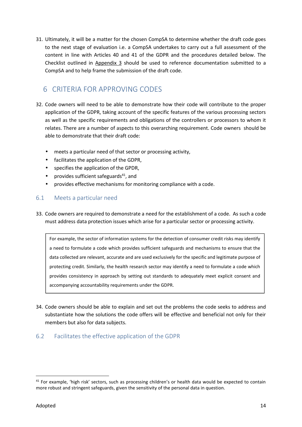31. Ultimately, it will be a matter for the chosen CompSA to determine whether the draft code goes to the next stage of evaluation i.e. a CompSA undertakes to carry out a full assessment of the content in line with Articles 40 and 41 of the GDPR and the procedures detailed below. The Checklist outlined in Appendix 3 should be used to reference documentation submitted to a CompSA and to help frame the submission of the draft code.

# 6 CRITERIA FOR APPROVING CODES

- 32. Code owners will need to be able to demonstrate how their code will contribute to the proper application of the GDPR, taking account of the specific features of the various processing sectors as well as the specific requirements and obligations of the controllers or processors to whom it relates. There are a number of aspects to this overarching requirement. Code owners should be able to demonstrate that their draft code:
	- meets a particular need of that sector or processing activity,
	- facilitates the application of the GDPR,
	- ) specifies the application of the GPDR,
	- ) provides sufficient safeguards<sup>41</sup>, and
	- $\int$  provides effective mechanisms for monitoring compliance with a code.

### 6.1 Meets a particular need

 33. Code owners are required to demonstrate a need for the establishment of a code. As such a code must address data protection issues which arise for a particular sector or processing activity.

For example, the sector of information systems for the detection of consumer credit risks may identify a need to formulate a code which provides sufficient safeguards and mechanisms to ensure that the data collected are relevant, accurate and are used exclusively for the specific and legitimate purpose of protecting credit. Similarly, the health research sector may identify a need to formulate a code which provides consistency in approach by setting out standards to adequately meet explicit consent and accompanying accountability requirements under the GDPR.

 34. Code owners should be able to explain and set out the problems the code seeks to address and substantiate how the solutions the code offers will be effective and beneficial not only for their members but also for data subjects.

### 6.2 Facilitates the effective application of the GDPR

<sup>&</sup>lt;sup>41</sup> For example, 'high risk' sectors, such as processing children's or health data would be expected to contain more robust and stringent safeguards, given the sensitivity of the personal data in question.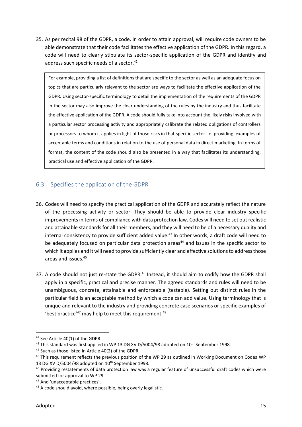35. As per recital 98 of the GDPR, a code, in order to attain approval, will require code owners to be able demonstrate that their code facilitates the effective application of the GDPR. In this regard, a code will need to clearly stipulate its sector-specific application of the GDPR and identify and address such specific needs of a sector.<sup>42</sup>

For example, providing a list of definitions that are specific to the sector as well as an adequate focus on topics that are particularly relevant to the sector are ways to facilitate the effective application of the GDPR. Using sector-specific terminology to detail the implementation of the requirements of the GDPR in the sector may also improve the clear understanding of the rules by the industry and thus facilitate the effective application of the GDPR. A code should fully take into account the likely risks involved with a particular sector processing activity and appropriately calibrate the related obligations of controllers or processors to whom it applies in light of those risks in that specific sector i.e. providing examples of acceptable terms and conditions in relation to the use of personal data in direct marketing. In terms of format, the content of the code should also be presented in a way that facilitates its understanding, practical use and effective application of the GDPR.

### 6.3 Specifies the application of the GDPR

- 36. Codes will need to specify the practical application of the GDPR and accurately reflect the nature of the processing activity or sector. They should be able to provide clear industry specific improvements in terms of compliance with data protection law. Codes will need to set out realistic and attainable standards for all their members, and they will need to be of a necessary quality and internal consistency to provide sufficient added value.<sup>43</sup> In other words, a draft code will need to be adequately focused on particular data protection areas<sup>44</sup> and issues in the specific sector to which it applies and it will need to provide sufficiently clear and effective solutions to address those areas and [issues.45](https://issues.45)
- 37. A code should not just re-state the GDPR.<sup>46</sup> Instead, it should aim to codify how the GDPR shall apply in a specific, practical and precise manner. The agreed standards and rules will need to be unambiguous, concrete, attainable and enforceable (testable). Setting out distinct rules in the particular field is an acceptable method by which a code can add value. Using terminology that is unique and relevant to the industry and providing concrete case scenarios or specific examples of 'best practice'<sup>47</sup> may help to meet this requirement.<sup>48</sup>

<sup>&</sup>lt;sup>42</sup> See Article 40(1) of the GDPR.

 $^{43}$  This standard was first applied in WP 13 DG XV D/5004/98 adopted on 10<sup>th</sup> September 1998.

<sup>&</sup>lt;sup>44</sup> Such as those listed in Article 40(2) of the GDPR.

<sup>&</sup>lt;sup>45</sup> This requirement reflects the previous position of the WP 29 as outlined in Working Document on Codes WP 13 DG XV D/5004/98 adopted on 10<sup>th</sup> September 1998.

<sup>&</sup>lt;sup>46</sup> Providing restatements of data protection law was a regular feature of unsuccessful draft codes which were submitted for approval to WP 29.

<sup>47</sup> And 'unacceptable practices'.

<sup>&</sup>lt;sup>48</sup> A code should avoid, where possible, being overly legalistic.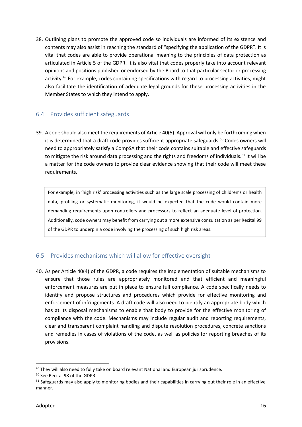38. Outlining plans to promote the approved code so individuals are informed of its existence and contents may also assist in reaching the standard of "specifying the application of the GDPR". It is vital that codes are able to provide operational meaning to the principles of data protection as articulated in Article 5 of the GDPR. It is also vital that codes properly take into account relevant opinions and positions published or endorsed by the Board to that particular sector or processing activity.<sup>49</sup> For example, codes containing specifications with regard to processing activities, might also facilitate the identification of adequate legal grounds for these processing activities in the Member States to which they intend to apply.

### 6.4 Provides sufficient safeguards

 39. A code should also meet the requirements of Article 40(5). Approval will only be forthcoming when it is determined that a draft code provides sufficient appropriate safeguards.<sup>50</sup> Codes owners will need to appropriately satisfy a CompSA that their code contains suitable and effective safeguards to mitigate the risk around data processing and the rights and freedoms of individuals.<sup>51</sup> It will be a matter for the code owners to provide clear evidence showing that their code will meet these requirements.

For example, in 'high risk' processing activities such as the large scale processing of children's or health data, profiling or systematic monitoring, it would be expected that the code would contain more demanding requirements upon controllers and processors to reflect an adequate level of protection. Additionally, code owners may benefit from carrying out a more extensive consultation as per Recital 99 of the GDPR to underpin a code involving the processing of such high risk areas.

### 6.5 Provides mechanisms which will allow for effective oversight

 40. As per Article 40(4) of the GDPR, a code requires the implementation of suitable mechanisms to ensure that those rules are appropriately monitored and that efficient and meaningful enforcement measures are put in place to ensure full compliance. A code specifically needs to identify and propose structures and procedures which provide for effective monitoring and enforcement of infringements. A draft code will also need to identify an appropriate body which has at its disposal mechanisms to enable that body to provide for the effective monitoring of compliance with the code. Mechanisms may include regular audit and reporting requirements, clear and transparent complaint handling and dispute resolution procedures, concrete sanctions and remedies in cases of violations of the code, as well as policies for reporting breaches of its provisions.

<sup>&</sup>lt;sup>49</sup> They will also need to fully take on board relevant National and European jurisprudence.

<sup>50</sup> See Recital 98 of the GDPR.

<sup>&</sup>lt;sup>51</sup> Safeguards may also apply to monitoring bodies and their capabilities in carrying out their role in an effective manner.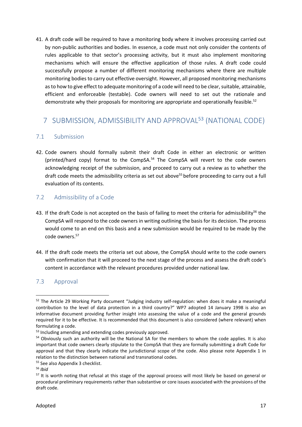41. A draft code will be required to have a monitoring body where it involves processing carried out by non-public authorities and bodies. In essence, a code must not only consider the contents of rules applicable to that sector's processing activity, but it must also implement monitoring mechanisms which will ensure the effective application of those rules. A draft code could successfully propose a number of different monitoring mechanisms where there are multiple monitoring bodies to carry out effective oversight. However, all proposed monitoring mechanisms as to how to give effect to adequate monitoring of a code will need to be clear, suitable, attainable, efficient and enforceable (testable). Code owners will need to set out the rationale and demonstrate why their proposals for monitoring are appropriate and operationally feasible.<sup>52</sup>

# 7 SUBMISSION, ADMISSIBILITY AND APPROVAL53 (NATIONAL CODE)

### 7.1 Submission

 42. Code owners should formally submit their draft Code in either an electronic or written (printed/hard copy) format to the CompSA.<sup>54</sup> The CompSA will revert to the code owners acknowledging receipt of the submission, and proceed to carry out a review as to whether the draft code meets the admissibility criteria as set out above<sup>55</sup> before proceeding to carry out a full evaluation of its contents.

### 7.2 Admissibility of a Code

- 43. If the draft Code is not accepted on the basis of failing to meet the criteria for admissibility<sup>56</sup> the CompSA will respond to the code owners in writing outlining the basis for its decision. The process would come to an end on this basis and a new submission would be required to be made by the code [owners.57](https://owners.57)
- 44. If the draft code meets the criteria set out above, the CompSA should write to the code owners with confirmation that it will proceed to the next stage of the process and assess the draft code's content in accordance with the relevant procedures provided under national law.

### 7.3 Approval

<sup>&</sup>lt;sup>52</sup> The Article 29 Working Party document "Judging industry self-regulation: when does it make a meaningful contribution to the level of data protection in a third country?" WP7 adopted 14 January 1998 is also an informative document providing further insight into assessing the value of a code and the general grounds required for it to be effective. It is recommended that this document is also considered (where relevant) when formulating a code.

<sup>&</sup>lt;sup>53</sup> Including amending and extending codes previously approved.

<sup>&</sup>lt;sup>54</sup> Obviously such an authority will be the National SA for the members to whom the code applies. It is also important that code owners clearly stipulate to the CompSA that they are formally submitting a draft Code for approval and that they clearly indicate the jurisdictional scope of the code. Also please note Appendix 1 in relation to the distinction between national and transnational codes.

<sup>55</sup> See also Appendix 3 checklist.

<sup>56</sup> *Ibid*

 $57$  It is worth noting that refusal at this stage of the approval process will most likely be based on general or procedural preliminary requirements rather than substantive or core issues associated with the provisions of the draft code.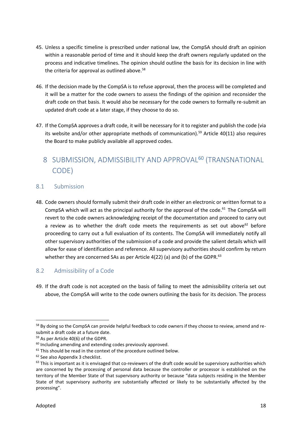- 45. Unless a specific timeline is prescribed under national law, the CompSA should draft an opinion within a reasonable period of time and it should keep the draft owners regularly updated on the process and indicative timelines. The opinion should outline the basis for its decision in line with the criteria for approval as outlined above.<sup>58</sup>
- 46. If the decision made by the CompSA is to refuse approval, then the process will be completed and it will be a matter for the code owners to assess the findings of the opinion and reconsider the draft code on that basis. It would also be necessary for the code owners to formally re-submit an updated draft code at a later stage, if they choose to do so.
- 47. If the CompSA approves a draft code, it will be necessary for it to register and publish the code (via its website and/or other appropriate methods of communication).<sup>59</sup> Article 40(11) also requires the Board to make publicly available all approved codes.

# 8 SUBMISSION, ADMISSIBILITY AND APPROVAL<sup>60</sup> (TRANSNATIONAL CODE)

### 8.1 Submission

 48. Code owners should formally submit their draft code in either an electronic or written format to a CompSA which will act as the principal authority for the approval of the code.<sup>61</sup> The CompSA will revert to the code owners acknowledging receipt of the documentation and proceed to carry out a review as to whether the draft code meets the requirements as set out above $^{62}$  before proceeding to carry out a full evaluation of its contents. The CompSA will immediately notify all other supervisory authorities of the submission of a code and provide the salient details which will allow for ease of identification and reference. All supervisory authorities should confirm by return whether they are concerned SAs as per Article 4(22) (a) and (b) of the GDPR.<sup>63</sup>

### 8.2 Admissibility of a Code

 49. If the draft code is not accepted on the basis of failing to meet the admissibility criteria set out above, the CompSA will write to the code owners outlining the basis for its decision. The process

<sup>&</sup>lt;sup>58</sup> By doing so the CompSA can provide helpful feedback to code owners if they choose to review, amend and resubmit a draft code at a future date.

<sup>59</sup> As per Article 40(6) of the GDPR.

 $60$  Including amending and extending codes previously approved.

 $61$  This should be read in the context of the procedure outlined below.

<sup>&</sup>lt;sup>62</sup> See also Appendix 3 checklist.

 $63$  This is important as it is envisaged that co-reviewers of the draft code would be supervisory authorities which are concerned by the processing of personal data because the controller or processor is established on the territory of the Member State of that supervisory authority or because "data subjects residing in the Member State of that supervisory authority are substantially affected or likely to be substantially affected by the processing".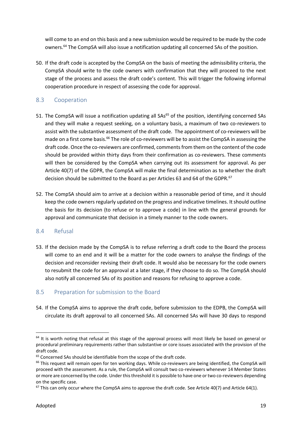will come to an end on this basis and a new submission would be required to be made by the code owners.<sup>64</sup> The CompSA will also issue a notification updating all concerned SAs of the position.

 50. If the draft code is accepted by the CompSA on the basis of meeting the admissibility criteria, the CompSA should write to the code owners with confirmation that they will proceed to the next stage of the process and assess the draft code's content. This will trigger the following informal cooperation procedure in respect of assessing the code for approval.

### 8.3 Cooperation

- 51. The CompSA will issue a notification updating all SAs<sup>65</sup> of the position, identifying concerned SAs and they will make a request seeking, on a voluntary basis, a maximum of two co-reviewers to assist with the substantive assessment of the draft code. The appointment of co-reviewers will be made on a first come basis.<sup>66</sup> The role of co-reviewers will be to assist the CompSA in assessing the draft code. Once the co-reviewers are confirmed, comments from them on the content of the code should be provided within thirty days from their confirmation as co-reviewers. These comments will then be considered by the CompSA when carrying out its assessment for approval. As per Article 40(7) of the GDPR, the CompSA will make the final determination as to whether the draft decision should be submitted to the Board as per Articles 63 and 64 of the GDPR.<sup>67</sup>
- 52. The CompSA should aim to arrive at a decision within a reasonable period of time, and it should keep the code owners regularly updated on the progress and indicative timelines. It should outline the basis for its decision (to refuse or to approve a code) in line with the general grounds for approval and communicate that decision in a timely manner to the code owners.

### 8.4 Refusal

 53. If the decision made by the CompSA is to refuse referring a draft code to the Board the process will come to an end and it will be a matter for the code owners to analyse the findings of the decision and reconsider revising their draft code. It would also be necessary for the code owners to resubmit the code for an approval at a later stage, if they choose to do so. The CompSA should also notify all concerned SAs of its position and reasons for refusing to approve a code.

### 8.5 Preparation for submission to the Board

 54. If the CompSA aims to approve the draft code, before submission to the EDPB, the CompSA will circulate its draft approval to all concerned SAs. All concerned SAs will have 30 days to respond

<sup>&</sup>lt;sup>64</sup> It is worth noting that refusal at this stage of the approval process will most likely be based on general or procedural preliminary requirements rather than substantive or core issues associated with the provision of the draft code.

 $65$  Concerned SAs should be identifiable from the scope of the draft code.

<sup>&</sup>lt;sup>66</sup> This request will remain open for ten working days. While co-reviewers are being identified, the CompSA will proceed with the assessment. As a rule, the CompSA will consult two co-reviewers whenever 14 Member States or more are concerned by the code. Under this threshold it is possible to have one or two co-reviewers depending on the specific case.

 $67$  This can only occur where the CompSA aims to approve the draft code. See Article 40(7) and Article 64(1).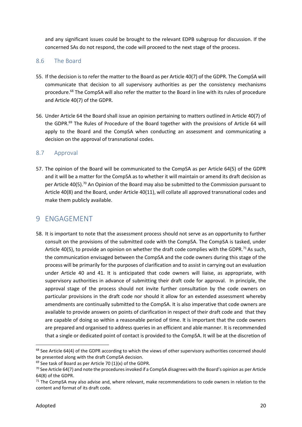and any significant issues could be brought to the relevant EDPB subgroup for discussion. If the concerned SAs do not respond, the code will proceed to the next stage of the process.

### 8.6 The Board

- 55. If the decision is to refer the matter to the Board as per Article 40(7) of the GDPR. The CompSA will communicate that decision to all supervisory authorities as per the consistency mechanisms procedure.<sup>68</sup> The CompSA will also refer the matter to the Board in line with its rules of procedure and Article 40(7) of the GDPR.
- 56. Under Article 64 the Board shall issue an opinion pertaining to matters outlined in Article 40(7) of the GDPR.<sup>69</sup> The Rules of Procedure of the Board together with the provisions of Article 64 will apply to the Board and the CompSA when conducting an assessment and communicating a decision on the approval of transnational codes.

### 8.7 Approval

 57. The opinion of the Board will be communicated to the CompSA as per Article 64(5) of the GDPR and it will be a matter for the CompSA as to whether it will maintain or amend its draft decision as per Article 40(5).<sup>70</sup> An Opinion of the Board may also be submitted to the Commission pursuant to Article 40(8) and the Board, under Article 40(11), will collate all approved transnational codes and make them publicly available.

### 9 ENGAGEMENT

 58. It is important to note that the assessment process should not serve as an opportunity to further consult on the provisions of the submitted code with the CompSA. The CompSA is tasked, under Article 40(5), to provide an opinion on whether the draft code complies with the GDPR.<sup>71</sup> As such, the communication envisaged between the CompSA and the code owners during this stage of the process will be primarily for the purposes of clarification and to assist in carrying out an evaluation under Article 40 and 41. It is anticipated that code owners will liaise, as appropriate, with supervisory authorities in advance of submitting their draft code for approval. In principle, the approval stage of the process should not invite further consultation by the code owners on particular provisions in the draft code nor should it allow for an extended assessment whereby amendments are continually submitted to the CompSA. It is also imperative that code owners are available to provide answers on points of clarification in respect of their draft code and that they are capable of doing so within a reasonable period of time. It is important that the code owners are prepared and organised to address queries in an efficient and able manner. It is recommended that a single or dedicated point of contact is provided to the CompSA. It will be at the discretion of

 $68$  See Article 64(4) of the GDPR according to which the views of other supervisory authorities concerned should be presented along with the draft CompSA decision.

 $69$  See task of Board as per Article 70 (1)(x) of the GDPR.

 $^{70}$  See Article 64(7) and note the procedures invoked if a CompSA disagrees with the Board's opinion as per Article 64(8) of the GDPR.

<sup>&</sup>lt;sup>71</sup> The CompSA may also advise and, where relevant, make recommendations to code owners in relation to the content and format of its draft code.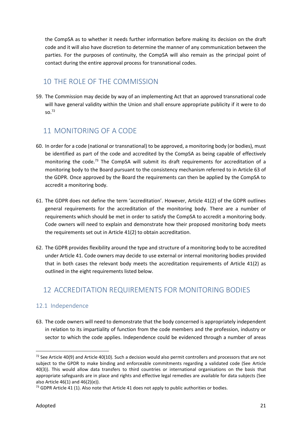the CompSA as to whether it needs further information before making its decision on the draft code and it will also have discretion to determine the manner of any communication between the parties. For the purposes of continuity, the CompSA will also remain as the principal point of contact during the entire approval process for transnational codes.

# 10 THE ROLE OF THE COMMISSION

 59. The Commission may decide by way of an implementing Act that an approved transnational code will have general validity within the Union and shall ensure appropriate publicity if it were to do so.72

# 11 MONITORING OF A CODE

- 60. In order for a code (national or transnational) to be approved, a monitoring body (or bodies), must be identified as part of the code and accredited by the CompSA as being capable of effectively monitoring the code.<sup>73</sup> The CompSA will submit its draft requirements for accreditation of a monitoring body to the Board pursuant to the consistency mechanism referred to in Article 63 of the GDPR. Once approved by the Board the requirements can then be applied by the CompSA to accredit a monitoring body.
- 61. The GDPR does not define the term 'accreditation'. However, Article 41(2) of the GDPR outlines general requirements for the accreditation of the monitoring body. There are a number of requirements which should be met in order to satisfy the CompSA to accredit a monitoring body. Code owners will need to explain and demonstrate how their proposed monitoring body meets the requirements set out in Article 41(2) to obtain accreditation.
- 62. The GDPR provides flexibility around the type and structure of a monitoring body to be accredited under Article 41. Code owners may decide to use external or internal monitoring bodies provided that in both cases the relevant body meets the accreditation requirements of Article 41(2) as outlined in the eight requirements listed below.

# 12 ACCREDITATION REQUIREMENTS FOR MONITORING BODIES

### 12.1 Independence

 63. The code owners will need to demonstrate that the body concerned is appropriately independent in relation to its impartiality of function from the code members and the profession, industry or sector to which the code applies. Independence could be evidenced through a number of areas

 $72$  See Article 40(9) and Article 40(10). Such a decision would also permit controllers and processors that are not subject to the GPDR to make binding and enforceable commitments regarding a validated code (See Article 40(3)). This would allow data transfers to third countries or international organisations on the basis that appropriate safeguards are in place and rights and effective legal remedies are available for data subjects (See also Article 46(1) and 46(2)(e)).

 $^{73}$  GDPR Article 41 (1). Also note that Article 41 does not apply to public authorities or bodies.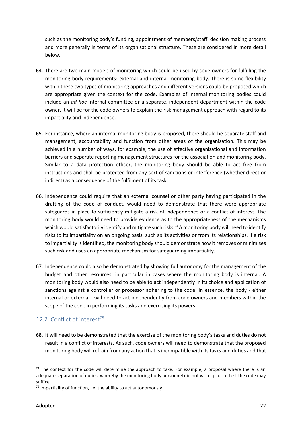such as the monitoring body's funding, appointment of members/staff, decision making process and more generally in terms of its organisational structure. These are considered in more detail below.

- 64. There are two main models of monitoring which could be used by code owners for fulfilling the monitoring body requirements: external and internal monitoring body. There is some flexibility within these two types of monitoring approaches and different versions could be proposed which are appropriate given the context for the code. Examples of internal monitoring bodies could include an *ad hoc* internal committee or a separate, independent department within the code owner. It will be for the code owners to explain the risk management approach with regard to its impartiality and independence.
- 65. For instance, where an internal monitoring body is proposed, there should be separate staff and management, accountability and function from other areas of the organisation. This may be achieved in a number of ways, for example, the use of effective organisational and information barriers and separate reporting management structures for the association and monitoring body. Similar to a data protection officer, the monitoring body should be able to act free from instructions and shall be protected from any sort of sanctions or interference (whether direct or indirect) as a consequence of the fulfilment of its task.
- 66. Independence could require that an external counsel or other party having participated in the drafting of the code of conduct, would need to demonstrate that there were appropriate safeguards in place to sufficiently mitigate a risk of independence or a conflict of interest. The monitoring body would need to provide evidence as to the appropriateness of the mechanisms which would satisfactorily identify and mitigate such risks.<sup>74</sup> A monitoring body will need to identify risks to its impartiality on an ongoing basis, such as its activities or from its relationships. If a risk to impartiality is identified, the monitoring body should demonstrate how it removes or minimises such risk and uses an appropriate mechanism for safeguarding impartiality.
- 67. Independence could also be demonstrated by showing full autonomy for the management of the budget and other resources, in particular in cases where the monitoring body is internal. A monitoring body would also need to be able to act independently in its choice and application of sanctions against a controller or processor adhering to the code. In essence, the body - either internal or external - will need to act independently from code owners and members within the scope of the code in performing its tasks and exercising its powers.

### 12.2 Conflict of interest<sup>75</sup>

 68. It will need to be demonstrated that the exercise of the monitoring body's tasks and duties do not result in a conflict of interests. As such, code owners will need to demonstrate that the proposed monitoring body will refrain from any action that is incompatible with its tasks and duties and that

<sup>&</sup>lt;sup>74</sup> The context for the code will determine the approach to take. For example, a proposal where there is an adequate separation of duties, whereby the monitoring body personnel did not write, pilot or test the code may suffice.

 $75$  Impartiality of function, i.e. the ability to act autonomously.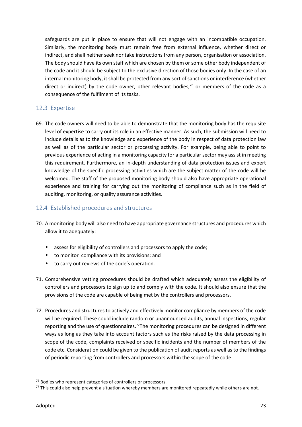safeguards are put in place to ensure that will not engage with an incompatible occupation. Similarly, the monitoring body must remain free from external influence, whether direct or indirect, and shall neither seek nor take instructions from any person, organisation or association. The body should have its own staff which are chosen by them or some other body independent of the code and it should be subject to the exclusive direction of those bodies only. In the case of an internal monitoring body, it shall be protected from any sort of sanctions or interference (whether direct or indirect) by the code owner, other relevant bodies,<sup>76</sup> or members of the code as a consequence of the fulfilment of its tasks.

### 12.3 Expertise

 69. The code owners will need to be able to demonstrate that the monitoring body has the requisite level of expertise to carry out its role in an effective manner. As such, the submission will need to include details as to the knowledge and experience of the body in respect of data protection law as well as of the particular sector or processing activity. For example, being able to point to previous experience of acting in a monitoring capacity for a particular sector may assist in meeting this requirement. Furthermore, an in-depth understanding of data protection issues and expert knowledge of the specific processing activities which are the subject matter of the code will be welcomed. The staff of the proposed monitoring body should also have appropriate operational experience and training for carrying out the monitoring of compliance such as in the field of auditing, monitoring, or quality assurance activities.

### 12.4 Established procedures and structures

- 70. A monitoring body will also need to have appropriate governance structures and procedures which allow it to adequately:
	- assess for eligibility of controllers and processors to apply the code;
	- $\int$  to monitor compliance with its provisions; and
	- $\int$  to carry out reviews of the code's operation.
- 71. Comprehensive vetting procedures should be drafted which adequately assess the eligibility of controllers and processors to sign up to and comply with the code. It should also ensure that the provisions of the code are capable of being met by the controllers and processors.
- 72. Procedures and structures to actively and effectively monitor compliance by members of the code will be required. These could include random or unannounced audits, annual inspections, regular reporting and the use of questionnaires.<sup>77</sup>The monitoring procedures can be designed in different ways as long as they take into account factors such as the risks raised by the data processing in scope of the code, complaints received or specific incidents and the number of members of the code etc. Consideration could be given to the publication of audit reports as well as to the findings of periodic reporting from controllers and processors within the scope of the code.

<sup>&</sup>lt;sup>76</sup> Bodies who represent categories of controllers or processors.

 $^{77}$  This could also help prevent a situation whereby members are monitored repeatedly while others are not.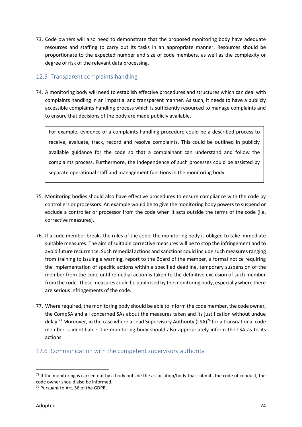73. Code owners will also need to demonstrate that the proposed monitoring body have adequate resources and staffing to carry out its tasks in an appropriate manner. Resources should be proportionate to the expected number and size of code members, as well as the complexity or degree of risk of the relevant data processing.

### 12.5 Transparent complaints handling

 74. A monitoring body will need to establish effective procedures and structures which can deal with complaints handling in an impartial and transparent manner. As such, it needs to have a publicly accessible complaints handling process which is sufficiently resourced to manage complaints and to ensure that decisions of the body are made publicly available.

For example, evidence of a complaints handling procedure could be a described process to receive, evaluate, track, record and resolve complaints. This could be outlined in publicly available guidance for the code so that a complainant can understand and follow the complaints process. Furthermore, the independence of such processes could be assisted by separate operational staff and management functions in the monitoring body.

- 75. Monitoring bodies should also have effective procedures to ensure compliance with the code by controllers or processors. An example would be to give the monitoring body powers to suspend or exclude a controller or processor from the code when it acts outside the terms of the code (i.e. corrective measures).
- 76. If a code member breaks the rules of the code, the monitoring body is obliged to take immediate suitable measures. The aim of suitable corrective measures will be to stop the infringement and to avoid future recurrence. Such remedial actions and sanctions could include such measures ranging from training to issuing a warning, report to the Board of the member, a formal notice requiring the implementation of specific actions within a specified deadline, temporary suspension of the member from the code until remedial action is taken to the definitive exclusion of such member from the code. These measures could be publicised by the monitoring body, especially where there are serious infringements of the code.
- 77. Where required, the monitoring body should be able to inform the code member, the code owner, the CompSA and all concerned SAs about the measures taken and its justification without undue delay.<sup>78</sup> Moreover, in the case where a Lead Supervisory Authority (LSA)<sup>79</sup> for a transnational code member is identifiable, the monitoring body should also appropriately inform the LSA as to its actions.

### 12.6 Communication with the competent supervisory authority

 $^{78}$  If the monitoring is carried out by a body outside the association/body that submits the code of conduct, the code owner should also be informed.

<sup>&</sup>lt;sup>79</sup> Pursuant to Art. 56 of the GDPR.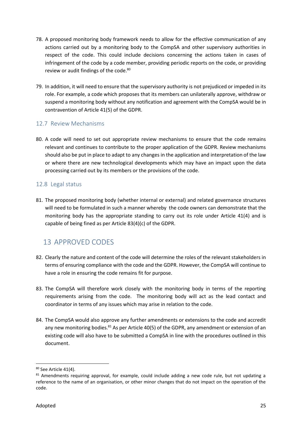- 78. A proposed monitoring body framework needs to allow for the effective communication of any actions carried out by a monitoring body to the CompSA and other supervisory authorities in respect of the code. This could include decisions concerning the actions taken in cases of infringement of the code by a code member, providing periodic reports on the code, or providing review or audit findings of the code.<sup>80</sup>
- 79. In addition, it will need to ensure that the supervisory authority is not prejudiced or impeded in its role. For example, a code which proposes that its members can unilaterally approve, withdraw or suspend a monitoring body without any notification and agreement with the CompSA would be in contravention of Article 41(5) of the GDPR.

### 12.7 Review Mechanisms

 80. A code will need to set out appropriate review mechanisms to ensure that the code remains relevant and continues to contribute to the proper application of the GDPR. Review mechanisms should also be put in place to adapt to any changes in the application and interpretation of the law or where there are new technological developments which may have an impact upon the data processing carried out by its members or the provisions of the code.

### 12.8 Legal status

 81. The proposed monitoring body (whether internal or external) and related governance structures will need to be formulated in such a manner whereby the code owners can demonstrate that the monitoring body has the appropriate standing to carry out its role under Article 41(4) and is capable of being fined as per Article 83(4)(c) of the GDPR.

# 13 APPROVED CODES

- 82. Clearly the nature and content of the code will determine the roles of the relevant stakeholders in terms of ensuring compliance with the code and the GDPR. However, the CompSA will continue to have a role in ensuring the code remains fit for purpose.
- 83. The CompSA will therefore work closely with the monitoring body in terms of the reporting requirements arising from the code. The monitoring body will act as the lead contact and coordinator in terms of any issues which may arise in relation to the code.
- 84. The CompSA would also approve any further amendments or extensions to the code and accredit any new monitoring bodies.<sup>81</sup> As per Article 40(5) of the GDPR, any amendment or extension of an existing code will also have to be submitted a CompSA in line with the procedures outlined in this document.

<sup>&</sup>lt;sup>80</sup> See Article 41(4).

 $81$  Amendments requiring approval, for example, could include adding a new code rule, but not updating a reference to the name of an organisation, or other minor changes that do not impact on the operation of the code.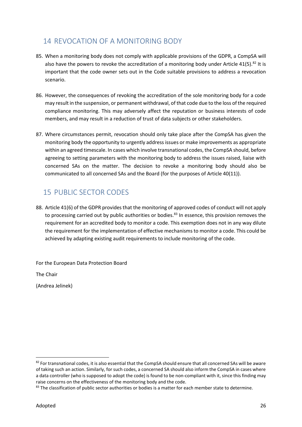# 14 REVOCATION OF A MONITORING BODY

- 85. When a monitoring body does not comply with applicable provisions of the GDPR, a CompSA will also have the powers to revoke the accreditation of a monitoring body under Article 41(5).<sup>82</sup> It is important that the code owner sets out in the Code suitable provisions to address a revocation scenario.
- 86. However, the consequences of revoking the accreditation of the sole monitoring body for a code may result in the suspension, or permanent withdrawal, of that code due to the loss of the required compliance monitoring. This may adversely affect the reputation or business interests of code members, and may result in a reduction of trust of data subjects or other stakeholders.
- 87. Where circumstances permit, revocation should only take place after the CompSA has given the monitoring body the opportunity to urgently address issues or make improvements as appropriate within an agreed timescale. In cases which involve transnational codes, the CompSA should, before agreeing to setting parameters with the monitoring body to address the issues raised, liaise with concerned SAs on the matter. The decision to revoke a monitoring body should also be communicated to all concerned SAs and the Board (for the purposes of Article 40(11)).

# 15 PUBLIC SECTOR CODES

 88. Article 41(6) of the GDPR provides that the monitoring of approved codes of conduct will not apply to processing carried out by public authorities or bodies.<sup>83</sup> In essence, this provision removes the requirement for an accredited body to monitor a code. This exemption does not in any way dilute the requirement for the implementation of effective mechanisms to monitor a code. This could be achieved by adapting existing audit requirements to include monitoring of the code.

For the European Data Protection Board

The Chair

(Andrea Jelinek)

 $82$  For transnational codes, it is also essential that the CompSA should ensure that all concerned SAs will be aware of taking such an action. Similarly, for such codes, a concerned SA should also inform the CompSA in cases where a data controller (who is supposed to adopt the code) is found to be non-compliant with it, since this finding may raise concerns on the effectiveness of the monitoring body and the code.

 $83$  The classification of public sector authorities or bodies is a matter for each member state to determine.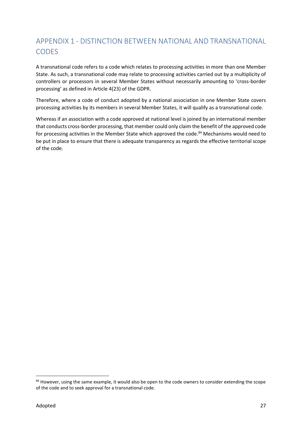# APPENDIX 1 - DISTINCTION BETWEEN NATIONAL AND TRANSNATIONAL CODES

 A transnational code refers to a code which relates to processing activities in more than one Member State. As such, a transnational code may relate to processing activities carried out by a multiplicity of controllers or processors in several Member States without necessarily amounting to 'cross-border processing' as defined in Article 4(23) of the GDPR.

 Therefore, where a code of conduct adopted by a national association in one Member State covers processing activities by its members in several Member States, it will qualify as a transnational code.

 Whereas if an association with a code approved at national level is joined by an international member that conducts cross-border processing, that member could only claim the benefit of the approved code for processing activities in the Member State which approved the code.<sup>84</sup> Mechanisms would need to be put in place to ensure that there is adequate transparency as regards the effective territorial scope of the code.

<sup>84</sup> However, using the same example, it would also be open to the code owners to consider extending the scope of the code and to seek approval for a transnational code.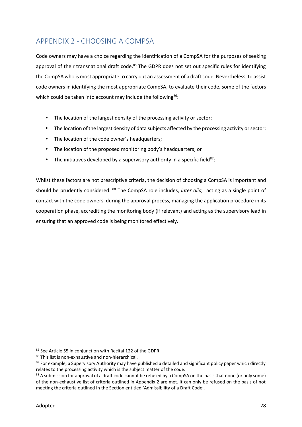# APPENDIX 2 - CHOOSING A COMPSA

 Code owners may have a choice regarding the identification of a CompSA for the purposes of seeking approval of their transnational draft code.<sup>85</sup> The GDPR does not set out specific rules for identifying the CompSA who is most appropriate to carry out an assessment of a draft code. Nevertheless, to assist code owners in identifying the most appropriate CompSA, to evaluate their code, some of the factors which could be taken into account may include the following<sup>86</sup>:

- $\int$  The location of the largest density of the processing activity or sector;
- $\int$  The location of the largest density of data subjects affected by the processing activity or sector;
- ) The location of the code owner's headquarters;
- The location of the proposed monitoring body's headquarters; or
- The initiatives developed by a supervisory authority in a specific field<sup>87</sup>;

 Whilst these factors are not prescriptive criteria, the decision of choosing a CompSA is important and should be prudently considered. <sup>88</sup> The CompSA role includes, *inter alia,* acting as a single point of contact with the code owners during the approval process, managing the application procedure in its cooperation phase, accrediting the monitoring body (if relevant) and acting as the supervisory lead in ensuring that an approved code is being monitored effectively.

<sup>85</sup> See Article 55 in conjunction with Recital 122 of the GDPR.

<sup>86</sup> This list is non-exhaustive and non-hierarchical.

<sup>87</sup> For example, a Supervisory Authority may have published a detailed and significant policy paper which directly relates to the processing activity which is the subject matter of the code.

 $^{88}$  A submission for approval of a draft code cannot be refused by a CompSA on the basis that none (or only some) of the non-exhaustive list of criteria outlined in Appendix 2 are met. It can only be refused on the basis of not meeting the criteria outlined in the Section entitled 'Admissibility of a Draft Code'.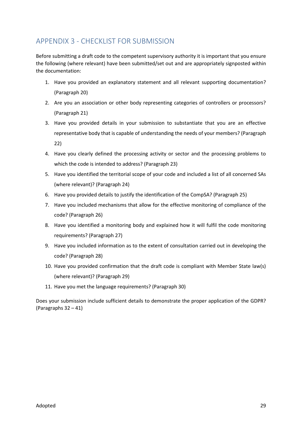# APPENDIX 3 - CHECKLIST FOR SUBMISSION

 Before submitting a draft code to the competent supervisory authority it is important that you ensure the following (where relevant) have been submitted/set out and are appropriately signposted within the documentation:

- 1. Have you provided an explanatory statement and all relevant supporting documentation? (Paragraph 20)
- 2. Are you an association or other body representing categories of controllers or processors? (Paragraph 21)
- 3. Have you provided details in your submission to substantiate that you are an effective representative body that is capable of understanding the needs of your members? (Paragraph 22)
- 4. Have you clearly defined the processing activity or sector and the processing problems to which the code is intended to address? (Paragraph 23)
- 5. Have you identified the territorial scope of your code and included a list of all concerned SAs (where relevant)? (Paragraph 24)
- 6. Have you provided details to justify the identification of the CompSA? (Paragraph 25)
- 7. Have you included mechanisms that allow for the effective monitoring of compliance of the code? (Paragraph 26)
- 8. Have you identified a monitoring body and explained how it will fulfil the code monitoring requirements? (Paragraph 27)
- 9. Have you included information as to the extent of consultation carried out in developing the code? (Paragraph 28)
- 10. Have you provided confirmation that the draft code is compliant with Member State law(s) (where relevant)? (Paragraph 29)
- 11. Have you met the language requirements? (Paragraph 30)

 Does your submission include sufficient details to demonstrate the proper application of the GDPR? (Paragraphs 32 – 41)